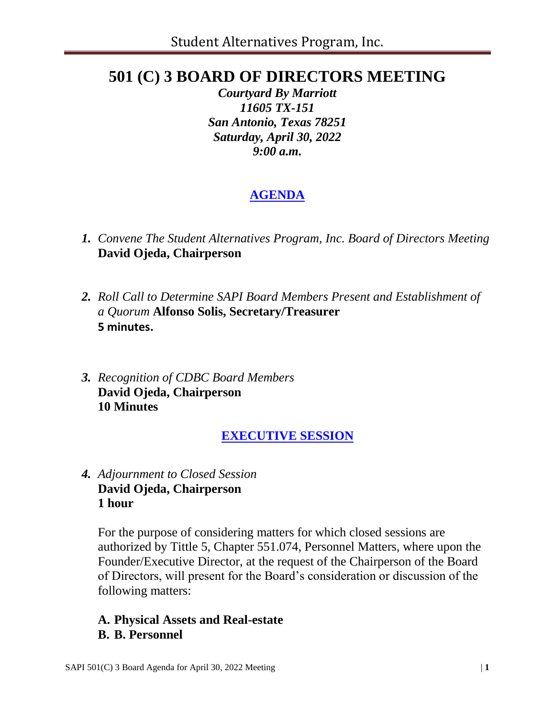# **501 (C) 3 BOARD OF DIRECTORS MEETING**

*Courtyard By Marriott 11605 TX-151 San Antonio, Texas 78251 Saturday, April 30, 2022 9:00 a.m.*

# **AGENDA**

- *1. Convene The Student Alternatives Program, Inc. Board of Directors Meeting* **David Ojeda, Chairperson**
- *2. Roll Call to Determine SAPI Board Members Present and Establishment of a Quorum* **Alfonso Solis, Secretary/Treasurer 5 minutes.**
- *3. Recognition of CDBC Board Members* **David Ojeda, Chairperson 10 Minutes**

## **EXECUTIVE SESSION**

*4. Adjournment to Closed Session* **David Ojeda, Chairperson 1 hour**

For the purpose of considering matters for which closed sessions are authorized by Tittle 5, Chapter 551.074, Personnel Matters, where upon the Founder/Executive Director, at the request of the Chairperson of the Board of Directors, will present for the Board's consideration or discussion of the following matters:

#### **A. Physical Assets and Real-estate B. B. Personnel**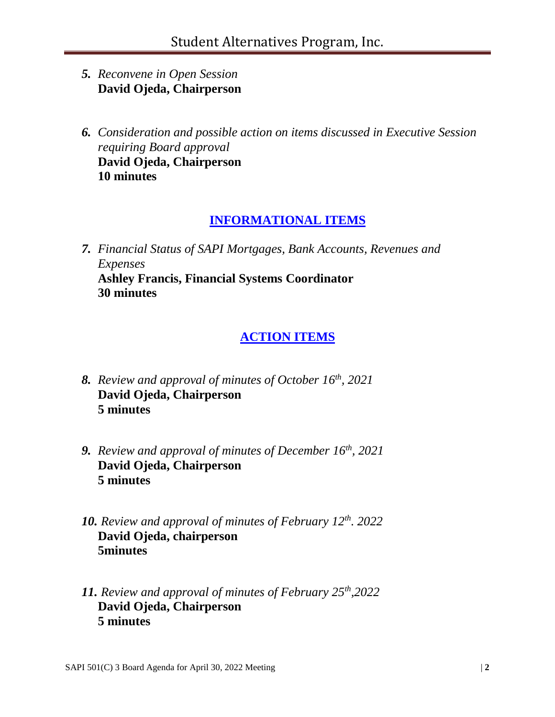- *5. Reconvene in Open Session* **David Ojeda, Chairperson**
- *6. Consideration and possible action on items discussed in Executive Session requiring Board approval* **David Ojeda, Chairperson 10 minutes**

### **INFORMATIONAL ITEMS**

*7. Financial Status of SAPI Mortgages, Bank Accounts, Revenues and Expenses* **Ashley Francis, Financial Systems Coordinator 30 minutes**

### **ACTION ITEMS**

- *8. Review and approval of minutes of October 16 th, 2021* **David Ojeda, Chairperson 5 minutes**
- *9. Review and approval of minutes of December 16th, 2021* **David Ojeda, Chairperson 5 minutes**
- *10. Review and approval of minutes of February 12th. 2022* **David Ojeda, chairperson 5minutes**
- *11. Review and approval of minutes of February 25th,2022* **David Ojeda, Chairperson 5 minutes**